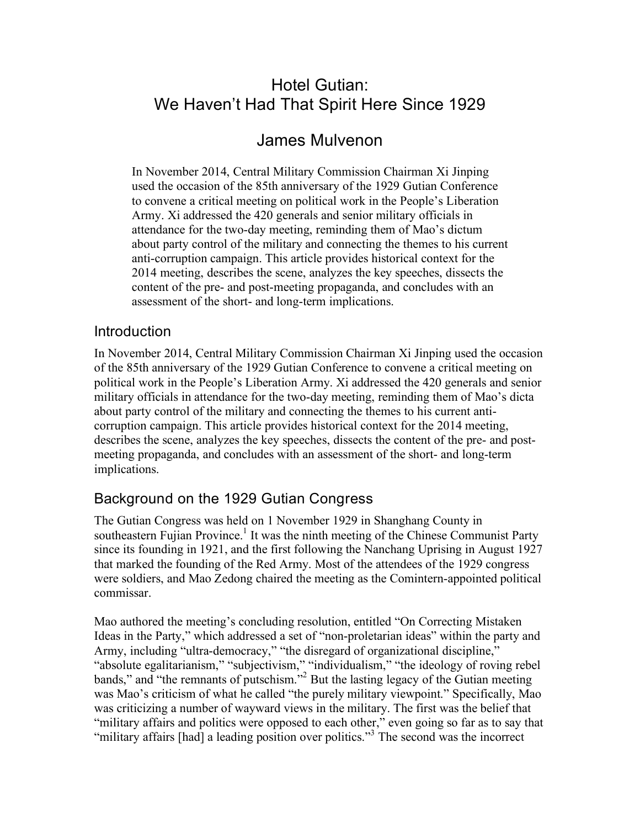# Hotel Gutian: We Haven't Had That Spirit Here Since 1929

# James Mulvenon

In November 2014, Central Military Commission Chairman Xi Jinping used the occasion of the 85th anniversary of the 1929 Gutian Conference to convene a critical meeting on political work in the People's Liberation Army. Xi addressed the 420 generals and senior military officials in attendance for the two-day meeting, reminding them of Mao's dictum about party control of the military and connecting the themes to his current anti-corruption campaign. This article provides historical context for the 2014 meeting, describes the scene, analyzes the key speeches, dissects the content of the pre- and post-meeting propaganda, and concludes with an assessment of the short- and long-term implications.

#### **Introduction**

In November 2014, Central Military Commission Chairman Xi Jinping used the occasion of the 85th anniversary of the 1929 Gutian Conference to convene a critical meeting on political work in the People's Liberation Army. Xi addressed the 420 generals and senior military officials in attendance for the two-day meeting, reminding them of Mao's dicta about party control of the military and connecting the themes to his current anticorruption campaign. This article provides historical context for the 2014 meeting, describes the scene, analyzes the key speeches, dissects the content of the pre- and postmeeting propaganda, and concludes with an assessment of the short- and long-term implications.

## Background on the 1929 Gutian Congress

The Gutian Congress was held on 1 November 1929 in Shanghang County in southeastern Fujian Province.<sup>1</sup> It was the ninth meeting of the Chinese Communist Party since its founding in 1921, and the first following the Nanchang Uprising in August 1927 that marked the founding of the Red Army. Most of the attendees of the 1929 congress were soldiers, and Mao Zedong chaired the meeting as the Comintern-appointed political commissar.

Mao authored the meeting's concluding resolution, entitled "On Correcting Mistaken Ideas in the Party," which addressed a set of "non-proletarian ideas" within the party and Army, including "ultra-democracy," "the disregard of organizational discipline," "absolute egalitarianism," "subjectivism," "individualism," "the ideology of roving rebel bands," and "the remnants of putschism."<sup>2</sup> But the lasting legacy of the Gutian meeting was Mao's criticism of what he called "the purely military viewpoint." Specifically, Mao was criticizing a number of wayward views in the military. The first was the belief that "military affairs and politics were opposed to each other," even going so far as to say that "military affairs [had] a leading position over politics."<sup>3</sup> The second was the incorrect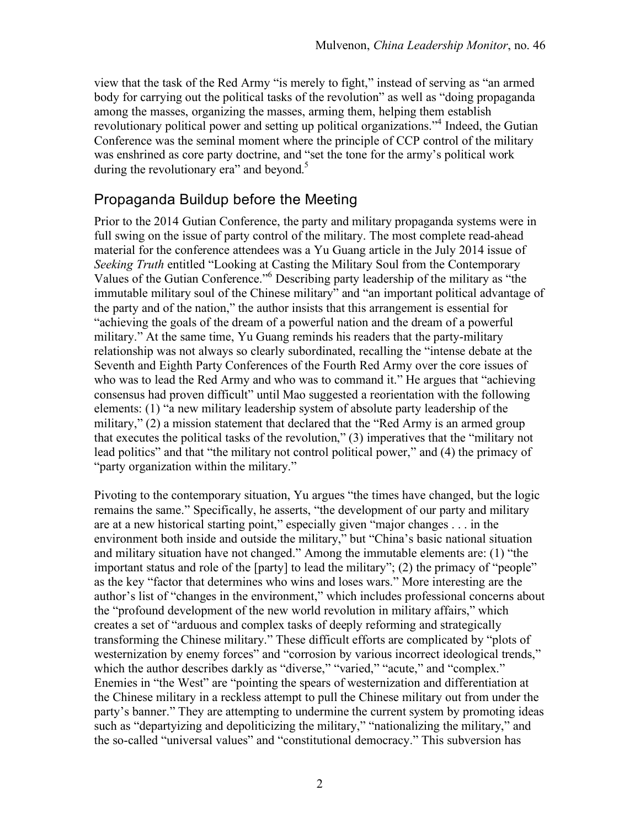view that the task of the Red Army "is merely to fight," instead of serving as "an armed body for carrying out the political tasks of the revolution" as well as "doing propaganda" among the masses, organizing the masses, arming them, helping them establish revolutionary political power and setting up political organizations."<sup>4</sup> Indeed, the Gutian Conference was the seminal moment where the principle of CCP control of the military was enshrined as core party doctrine, and "set the tone for the army's political work during the revolutionary era" and beyond. $5$ 

## Propaganda Buildup before the Meeting

Prior to the 2014 Gutian Conference, the party and military propaganda systems were in full swing on the issue of party control of the military. The most complete read-ahead material for the conference attendees was a Yu Guang article in the July 2014 issue of *Seeking Truth* entitled "Looking at Casting the Military Soul from the Contemporary Values of the Gutian Conference."<sup>6</sup> Describing party leadership of the military as "the immutable military soul of the Chinese military" and "an important political advantage of the party and of the nation," the author insists that this arrangement is essential for "achieving the goals of the dream of a powerful nation and the dream of a powerful military." At the same time, Yu Guang reminds his readers that the party-military relationship was not always so clearly subordinated, recalling the "intense debate at the Seventh and Eighth Party Conferences of the Fourth Red Army over the core issues of who was to lead the Red Army and who was to command it." He argues that "achieving" consensus had proven difficult" until Mao suggested a reorientation with the following elements: (1) "a new military leadership system of absolute party leadership of the military," (2) a mission statement that declared that the "Red Army is an armed group that executes the political tasks of the revolution," (3) imperatives that the "military not lead politics" and that "the military not control political power," and (4) the primacy of "party organization within the military."

Pivoting to the contemporary situation, Yu argues "the times have changed, but the logic remains the same." Specifically, he asserts, "the development of our party and military are at a new historical starting point," especially given "major changes . . . in the environment both inside and outside the military," but "China's basic national situation and military situation have not changed." Among the immutable elements are: (1) "the important status and role of the [party] to lead the military"; (2) the primacy of "people" as the key "factor that determines who wins and loses wars." More interesting are the author's list of "changes in the environment," which includes professional concerns about the "profound development of the new world revolution in military affairs," which creates a set of "arduous and complex tasks of deeply reforming and strategically transforming the Chinese military." These difficult efforts are complicated by "plots of westernization by enemy forces" and "corrosion by various incorrect ideological trends," which the author describes darkly as "diverse," "varied," "acute," and "complex." Enemies in "the West" are "pointing the spears of westernization and differentiation at the Chinese military in a reckless attempt to pull the Chinese military out from under the party's banner." They are attempting to undermine the current system by promoting ideas such as "departyizing and depoliticizing the military," "nationalizing the military," and the so-called "universal values" and "constitutional democracy." This subversion has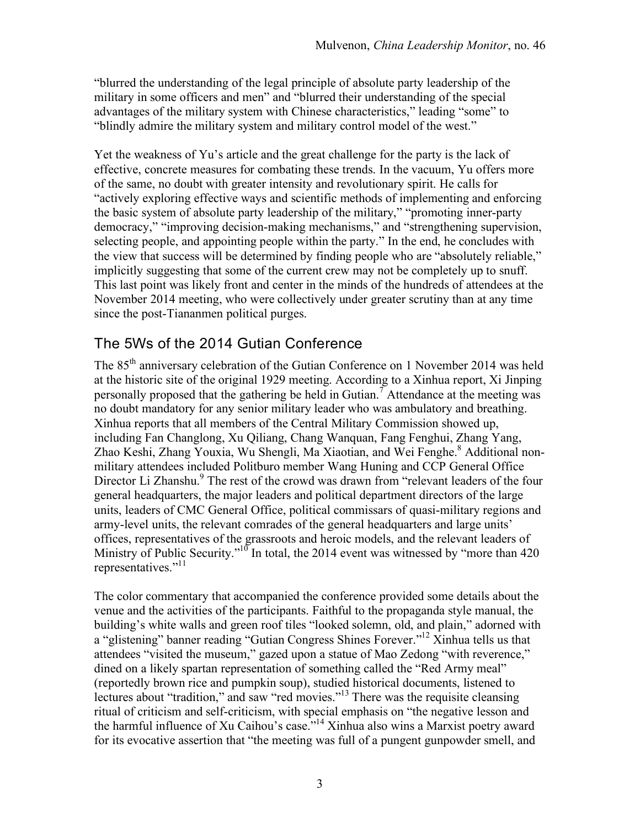"blurred the understanding of the legal principle of absolute party leadership of the military in some officers and men" and "blurred their understanding of the special advantages of the military system with Chinese characteristics," leading "some" to "blindly admire the military system and military control model of the west."

Yet the weakness of Yu's article and the great challenge for the party is the lack of effective, concrete measures for combating these trends. In the vacuum, Yu offers more of the same, no doubt with greater intensity and revolutionary spirit. He calls for "actively exploring effective ways and scientific methods of implementing and enforcing the basic system of absolute party leadership of the military," "promoting inner-party democracy," "improving decision-making mechanisms," and "strengthening supervision, selecting people, and appointing people within the party." In the end, he concludes with the view that success will be determined by finding people who are "absolutely reliable," implicitly suggesting that some of the current crew may not be completely up to snuff. This last point was likely front and center in the minds of the hundreds of attendees at the November 2014 meeting, who were collectively under greater scrutiny than at any time since the post-Tiananmen political purges.

## The 5Ws of the 2014 Gutian Conference

The 85<sup>th</sup> anniversary celebration of the Gutian Conference on 1 November 2014 was held at the historic site of the original 1929 meeting. According to a Xinhua report, Xi Jinping personally proposed that the gathering be held in Gutian.<sup>7</sup> Attendance at the meeting was no doubt mandatory for any senior military leader who was ambulatory and breathing. Xinhua reports that all members of the Central Military Commission showed up, including Fan Changlong, Xu Qiliang, Chang Wanquan, Fang Fenghui, Zhang Yang, Zhao Keshi, Zhang Youxia, Wu Shengli, Ma Xiaotian, and Wei Fenghe.<sup>8</sup> Additional nonmilitary attendees included Politburo member Wang Huning and CCP General Office Director Li Zhanshu.<sup>9</sup> The rest of the crowd was drawn from "relevant leaders of the four general headquarters, the major leaders and political department directors of the large units, leaders of CMC General Office, political commissars of quasi-military regions and army-level units, the relevant comrades of the general headquarters and large units' offices, representatives of the grassroots and heroic models, and the relevant leaders of Ministry of Public Security."<sup>10</sup> In total, the 2014 event was witnessed by "more than 420" representatives."<sup>11</sup>

The color commentary that accompanied the conference provided some details about the venue and the activities of the participants. Faithful to the propaganda style manual, the building's white walls and green roof tiles "looked solemn, old, and plain," adorned with a "glistening" banner reading "Gutian Congress Shines Forever."<sup>12</sup> Xinhua tells us that attendees "visited the museum," gazed upon a statue of Mao Zedong "with reverence," dined on a likely spartan representation of something called the "Red Army meal" (reportedly brown rice and pumpkin soup), studied historical documents, listened to lectures about "tradition," and saw "red movies."<sup>13</sup> There was the requisite cleansing ritual of criticism and self-criticism, with special emphasis on "the negative lesson and the harmful influence of Xu Caihou's case."14 Xinhua also wins a Marxist poetry award for its evocative assertion that "the meeting was full of a pungent gunpowder smell, and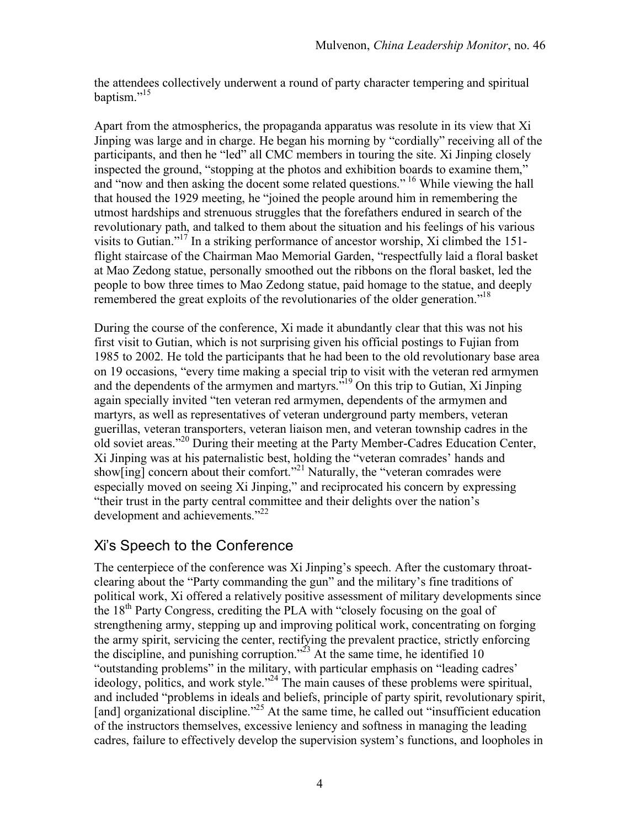the attendees collectively underwent a round of party character tempering and spiritual baptism."<sup>15</sup>

Apart from the atmospherics, the propaganda apparatus was resolute in its view that Xi Jinping was large and in charge. He began his morning by "cordially" receiving all of the participants, and then he "led" all CMC members in touring the site. Xi Jinping closely inspected the ground, "stopping at the photos and exhibition boards to examine them," and "now and then asking the docent some related questions." 16 While viewing the hall that housed the 1929 meeting, he "joined the people around him in remembering the utmost hardships and strenuous struggles that the forefathers endured in search of the revolutionary path, and talked to them about the situation and his feelings of his various visits to Gutian."17 In a striking performance of ancestor worship, Xi climbed the 151 flight staircase of the Chairman Mao Memorial Garden, "respectfully laid a floral basket at Mao Zedong statue, personally smoothed out the ribbons on the floral basket, led the people to bow three times to Mao Zedong statue, paid homage to the statue, and deeply remembered the great exploits of the revolutionaries of the older generation."<sup>18</sup>

During the course of the conference, Xi made it abundantly clear that this was not his first visit to Gutian, which is not surprising given his official postings to Fujian from 1985 to 2002. He told the participants that he had been to the old revolutionary base area on 19 occasions, "every time making a special trip to visit with the veteran red armymen and the dependents of the armymen and martyrs."19 On this trip to Gutian, Xi Jinping again specially invited "ten veteran red armymen, dependents of the armymen and martyrs, as well as representatives of veteran underground party members, veteran guerillas, veteran transporters, veteran liaison men, and veteran township cadres in the old soviet areas."<sup>20</sup> During their meeting at the Party Member-Cadres Education Center, Xi Jinping was at his paternalistic best, holding the "veteran comrades' hands and show $\lim_{n \to \infty}$  concern about their comfort.<sup>321</sup> Naturally, the "veteran comrades were especially moved on seeing Xi Jinping," and reciprocated his concern by expressing "their trust in the party central committee and their delights over the nation's development and achievements."<sup>22</sup>

## Xi's Speech to the Conference

The centerpiece of the conference was Xi Jinping's speech. After the customary throatclearing about the "Party commanding the gun" and the military's fine traditions of political work, Xi offered a relatively positive assessment of military developments since the 18<sup>th</sup> Party Congress, crediting the PLA with "closely focusing on the goal of strengthening army, stepping up and improving political work, concentrating on forging the army spirit, servicing the center, rectifying the prevalent practice, strictly enforcing the discipline, and punishing corruption."<sup>23</sup> At the same time, he identified 10 "outstanding problems" in the military, with particular emphasis on "leading cadres' ideology, politics, and work style."24 The main causes of these problems were spiritual, and included "problems in ideals and beliefs, principle of party spirit, revolutionary spirit, [and] organizational discipline."<sup>25</sup> At the same time, he called out "insufficient education" of the instructors themselves, excessive leniency and softness in managing the leading cadres, failure to effectively develop the supervision system's functions, and loopholes in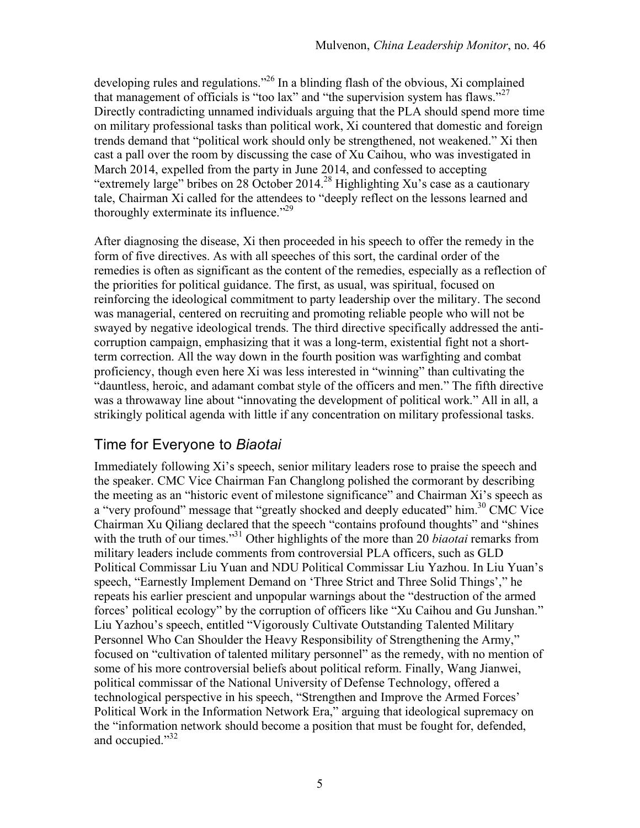developing rules and regulations."26 In a blinding flash of the obvious, Xi complained that management of officials is "too lax" and "the supervision system has flaws."<sup>27</sup> Directly contradicting unnamed individuals arguing that the PLA should spend more time on military professional tasks than political work, Xi countered that domestic and foreign trends demand that "political work should only be strengthened, not weakened." Xi then cast a pall over the room by discussing the case of Xu Caihou, who was investigated in March 2014, expelled from the party in June 2014, and confessed to accepting "extremely large" bribes on 28 October 2014.<sup>28</sup> Highlighting Xu's case as a cautionary tale, Chairman Xi called for the attendees to "deeply reflect on the lessons learned and thoroughly exterminate its influence. $2^{29}$ 

After diagnosing the disease, Xi then proceeded in his speech to offer the remedy in the form of five directives. As with all speeches of this sort, the cardinal order of the remedies is often as significant as the content of the remedies, especially as a reflection of the priorities for political guidance. The first, as usual, was spiritual, focused on reinforcing the ideological commitment to party leadership over the military. The second was managerial, centered on recruiting and promoting reliable people who will not be swayed by negative ideological trends. The third directive specifically addressed the anticorruption campaign, emphasizing that it was a long-term, existential fight not a shortterm correction. All the way down in the fourth position was warfighting and combat proficiency, though even here Xi was less interested in "winning" than cultivating the "dauntless, heroic, and adamant combat style of the officers and men." The fifth directive was a throwaway line about "innovating the development of political work." All in all, a strikingly political agenda with little if any concentration on military professional tasks.

## Time for Everyone to *Biaotai*

Immediately following Xi's speech, senior military leaders rose to praise the speech and the speaker. CMC Vice Chairman Fan Changlong polished the cormorant by describing the meeting as an "historic event of milestone significance" and Chairman Xi's speech as a "very profound" message that "greatly shocked and deeply educated" him.<sup>30</sup> CMC Vice Chairman Xu Qiliang declared that the speech "contains profound thoughts" and "shines with the truth of our times.<sup>31</sup> Other highlights of the more than 20 *biaotai* remarks from military leaders include comments from controversial PLA officers, such as GLD Political Commissar Liu Yuan and NDU Political Commissar Liu Yazhou. In Liu Yuan's speech, "Earnestly Implement Demand on 'Three Strict and Three Solid Things'," he repeats his earlier prescient and unpopular warnings about the "destruction of the armed forces' political ecology" by the corruption of officers like "Xu Caihou and Gu Junshan." Liu Yazhou's speech, entitled "Vigorously Cultivate Outstanding Talented Military Personnel Who Can Shoulder the Heavy Responsibility of Strengthening the Army," focused on "cultivation of talented military personnel" as the remedy, with no mention of some of his more controversial beliefs about political reform. Finally, Wang Jianwei, political commissar of the National University of Defense Technology, offered a technological perspective in his speech, "Strengthen and Improve the Armed Forces' Political Work in the Information Network Era," arguing that ideological supremacy on the "information network should become a position that must be fought for, defended, and occupied."<sup>32</sup>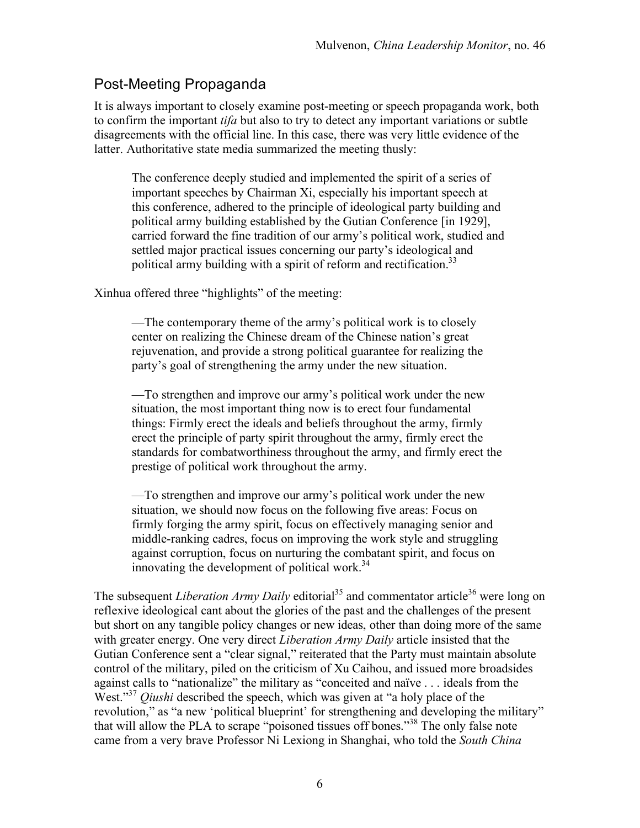### Post-Meeting Propaganda

It is always important to closely examine post-meeting or speech propaganda work, both to confirm the important *tifa* but also to try to detect any important variations or subtle disagreements with the official line. In this case, there was very little evidence of the latter. Authoritative state media summarized the meeting thusly:

The conference deeply studied and implemented the spirit of a series of important speeches by Chairman Xi, especially his important speech at this conference, adhered to the principle of ideological party building and political army building established by the Gutian Conference [in 1929], carried forward the fine tradition of our army's political work, studied and settled major practical issues concerning our party's ideological and political army building with a spirit of reform and rectification.<sup>33</sup>

Xinhua offered three "highlights" of the meeting:

—The contemporary theme of the army's political work is to closely center on realizing the Chinese dream of the Chinese nation's great rejuvenation, and provide a strong political guarantee for realizing the party's goal of strengthening the army under the new situation.

—To strengthen and improve our army's political work under the new situation, the most important thing now is to erect four fundamental things: Firmly erect the ideals and beliefs throughout the army, firmly erect the principle of party spirit throughout the army, firmly erect the standards for combatworthiness throughout the army, and firmly erect the prestige of political work throughout the army.

—To strengthen and improve our army's political work under the new situation, we should now focus on the following five areas: Focus on firmly forging the army spirit, focus on effectively managing senior and middle-ranking cadres, focus on improving the work style and struggling against corruption, focus on nurturing the combatant spirit, and focus on innovating the development of political work.<sup>34</sup>

The subsequent *Liberation Army Daily* editorial<sup>35</sup> and commentator article<sup>36</sup> were long on reflexive ideological cant about the glories of the past and the challenges of the present but short on any tangible policy changes or new ideas, other than doing more of the same with greater energy. One very direct *Liberation Army Daily* article insisted that the Gutian Conference sent a "clear signal," reiterated that the Party must maintain absolute control of the military, piled on the criticism of Xu Caihou, and issued more broadsides against calls to "nationalize" the military as "conceited and naïve . . . ideals from the West.<sup>37</sup> *Qiushi* described the speech, which was given at "a holy place of the revolution," as "a new 'political blueprint' for strengthening and developing the military" that will allow the PLA to scrape "poisoned tissues off bones."38 The only false note came from a very brave Professor Ni Lexiong in Shanghai, who told the *South China*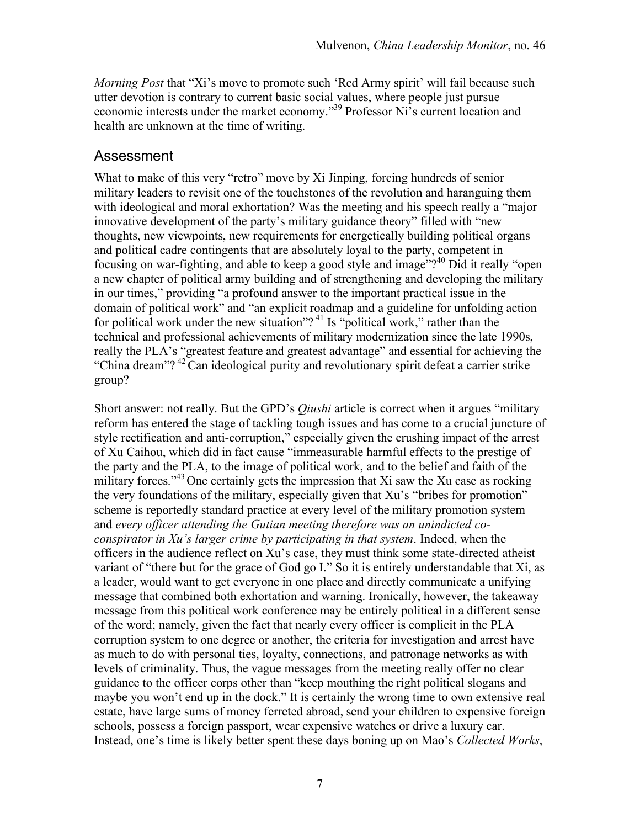*Morning Post* that "Xi's move to promote such 'Red Army spirit' will fail because such utter devotion is contrary to current basic social values, where people just pursue economic interests under the market economy."39 Professor Ni's current location and health are unknown at the time of writing.

### Assessment

What to make of this very "retro" move by Xi Jinping, forcing hundreds of senior military leaders to revisit one of the touchstones of the revolution and haranguing them with ideological and moral exhortation? Was the meeting and his speech really a "major" innovative development of the party's military guidance theory" filled with "new thoughts, new viewpoints, new requirements for energetically building political organs and political cadre contingents that are absolutely loyal to the party, competent in focusing on war-fighting, and able to keep a good style and image"?40 Did it really "open a new chapter of political army building and of strengthening and developing the military in our times," providing "a profound answer to the important practical issue in the domain of political work" and "an explicit roadmap and a guideline for unfolding action for political work under the new situation"?<sup>41</sup> Is "political work," rather than the technical and professional achievements of military modernization since the late 1990s, really the PLA's "greatest feature and greatest advantage" and essential for achieving the "China dream"?<sup>42</sup>Can ideological purity and revolutionary spirit defeat a carrier strike group?

Short answer: not really. But the GPD's *Qiushi* article is correct when it argues "military reform has entered the stage of tackling tough issues and has come to a crucial juncture of style rectification and anti-corruption," especially given the crushing impact of the arrest of Xu Caihou, which did in fact cause "immeasurable harmful effects to the prestige of the party and the PLA, to the image of political work, and to the belief and faith of the military forces."<sup>43</sup> One certainly gets the impression that Xi saw the Xu case as rocking the very foundations of the military, especially given that Xu's "bribes for promotion" scheme is reportedly standard practice at every level of the military promotion system and *every officer attending the Gutian meeting therefore was an unindicted coconspirator in Xu's larger crime by participating in that system*. Indeed, when the officers in the audience reflect on Xu's case, they must think some state-directed atheist variant of "there but for the grace of God go I." So it is entirely understandable that Xi, as a leader, would want to get everyone in one place and directly communicate a unifying message that combined both exhortation and warning. Ironically, however, the takeaway message from this political work conference may be entirely political in a different sense of the word; namely, given the fact that nearly every officer is complicit in the PLA corruption system to one degree or another, the criteria for investigation and arrest have as much to do with personal ties, loyalty, connections, and patronage networks as with levels of criminality. Thus, the vague messages from the meeting really offer no clear guidance to the officer corps other than "keep mouthing the right political slogans and maybe you won't end up in the dock." It is certainly the wrong time to own extensive real estate, have large sums of money ferreted abroad, send your children to expensive foreign schools, possess a foreign passport, wear expensive watches or drive a luxury car. Instead, one's time is likely better spent these days boning up on Mao's *Collected Works*,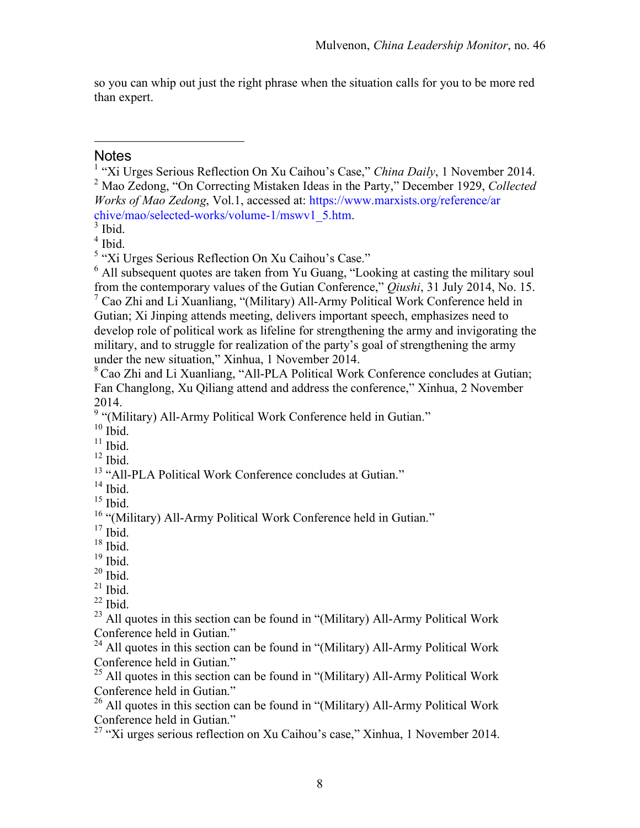so you can whip out just the right phrase when the situation calls for you to be more red than expert.

#### **Notes**

 $\overline{a}$ 

<sup>1</sup> "Xi Urges Serious Reflection On Xu Caihou's Case," *China Daily*, 1 November 2014. <sup>2</sup> Mao Zedong, "On Correcting Mistaken Ideas in the Party," December 1929, *Collected Works of Mao Zedong*, Vol.1, accessed at: https://www.marxists.org/reference/ar chive/mao/selected-works/volume-1/mswv1\_5.htm.<br><sup>3</sup> Ibid. 4<br><sup>4</sup> Ibid.

<sup>5</sup> "Xi Urges Serious Reflection On Xu Caihou's Case."

<sup>6</sup> All subsequent quotes are taken from Yu Guang, "Looking at casting the military soul from the contemporary values of the Gutian Conference," *Qiushi*, 31 July 2014, No. 15.

 $7$  Cao Zhi and Li Xuanliang, "(Military) All-Army Political Work Conference held in Gutian; Xi Jinping attends meeting, delivers important speech, emphasizes need to develop role of political work as lifeline for strengthening the army and invigorating the military, and to struggle for realization of the party's goal of strengthening the army under the new situation," Xinhua, 1 November 2014.

<sup>8</sup> Cao Zhi and Li Xuanliang, "All-PLA Political Work Conference concludes at Gutian; Fan Changlong, Xu Qiliang attend and address the conference," Xinhua, 2 November 2014.

 $9 \n\overset{\circ}{\cdot}$  "(Military) All-Army Political Work Conference held in Gutian."<br><sup>10</sup> Ibid.

<sup>11</sup> Ibid. <sup>12</sup> Ibid.<br><sup>12</sup> Ibid. <sup>12</sup> "All-PLA Political Work Conference concludes at Gutian."

<sup>14</sup> Ibid.<br><sup>15</sup> Ibid.<br><sup>16</sup> "(Military) All-Army Political Work Conference held in Gutian."<br><sup>17</sup> Ibid.

<sup>18</sup> Ibid.<br><sup>19</sup> Ibid.<br><sup>21</sup> Ibid. <sup>22</sup> Ibid. <sup>22</sup> Ibid. <sup>23</sup> All quotes in this section can be found in "(Military) All-Army Political Work Conference held in Gutian."

 $24$  All quotes in this section can be found in "(Military) All-Army Political Work Conference held in Gutian."

 $25$  All quotes in this section can be found in "(Military) All-Army Political Work Conference held in Gutian."

 $^{26}$  All quotes in this section can be found in "(Military) All-Army Political Work Conference held in Gutian."

 $27$  "Xi urges serious reflection on Xu Caihou's case," Xinhua, 1 November 2014.